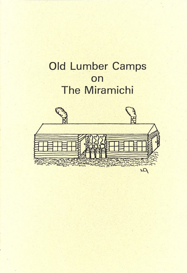# Old Lumber Camps on The Miramichi

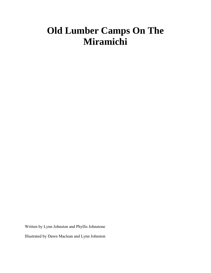# **Old Lumber Camps On The Miramichi**

Written by Lynn Johnston and Phyllis Johnstone Illustrated by Dawn Maclean and Lynn Johnston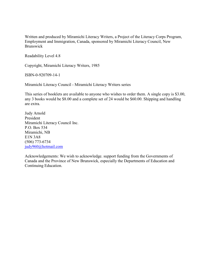Written and produced by Miramichi Literacy Writers, a Project of the Literacy Corps Program, Employment and Immigration, Canada, sponsored by Miramichi Literacy Council, New Brunswick

Readability Level 4.8

Copyright, Miramichi Literacy Writers, 1985

ISBN-0-920709-14-1

Miramichi Literacy Council - Miramichi Literacy Writers series

This series of booklets are available to anyone who wishes to order them. A single copy is \$3.00, any 3 books would be \$8.00 and a complete set of 24 would be \$60.00. Shipping and handling are extra.

Judy Arnold President Miramichi Literacy Council Inc. P.O. Box 534 Miramichi, NB E1N 3A8 (506) 773-6734 [judy960@hotmail.com](mailto:judy960@hotmail.com)

Acknowledgements: We wish to acknowledge. support funding from the Governments of Canada and the Province of New Brunswick, especially the Departments of Education and Continuing Education.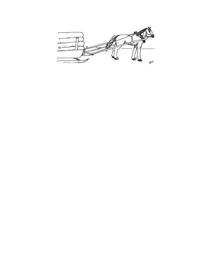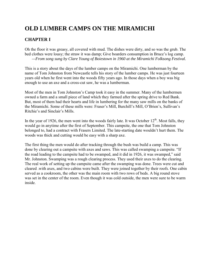# **OLD LUMBER CAMPS ON THE MIRAMICHI**

### **CHAPTER I**

Oh the floor it was greasy, all covered with mud. The dishes were dirty, and so was the grub. The bed clothes were lousy; the straw it was damp; Give boarders consumption in Bruce's log camp. *—From song sung by Clare Young of Boiestown in 1960 at the Miramichi Folksong Festival.* 

This is a story about the days of the lumber camps on the Miramichi. One lumberman by the name of Tom Johnston from Newcastle tells his story of the lumber camps. He was just fourteen years old when he first went into the woods fifty years ago. In those days when a boy was big enough to use an axe and a cross-cut saw, he was a lumberman.

Most of the men in Tom Johnston's Camp took it easy in the summer. Many of the lumbermen owned a farm and a small piece of land which they farmed after the spring drive to Red Bank. But, most of them had their hearts and life in lumbering for the many saw mills on the banks of the Miramichi. Some of these mills were: Fraser's Mill, Burchill's Mill, O'Brien's, Sullivan's Ritchie's and Sinclair's Mills.

In the year of 1926, the men went into the woods fairly late. It was October  $12<sup>th</sup>$ . Most falls, they would go in anytime after the first of September. This campsite, the one that Tom Johnston belonged to, had a contract with Frasers Limited. The late-starting date wouldn't hurt them. The woods was thick and cutting would be easy with a sharp axe.

The first thing the men would do after tracking through the bush was build a camp. This was done by clearing out a campsite with axes and saws. This was called swamping a campsite. "If the road leading to the campsite had to be swamped, and it did in 1926, it was swamped," said Mr. Johnston. Swamping was a rough clearing process. They used their axes to do the clearing. The real work of setting up the campsite came after the swamping was done. Trees were cut and cleared .with axes, and two cabins were built. They were joined together by their roofs. One cabin served as a cookroom, the other was the main room with two rows of beds. A big round stove was set in the center of the room. Even though it was cold outside, the men were sure to be warm inside.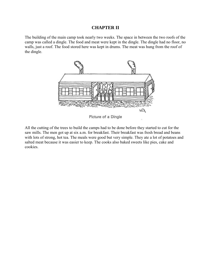#### **CHAPTER II**

The building of the main camp took nearly two weeks. The space in between the two roofs of the camp was called a dingle. The food and meat were kept in the dingle. The dingle had no floor, no walls, just a roof. The food stored here was kept in drums. The meat was hung from the roof of the dingle.



Picture of a Dingle

All the cutting of the trees to build the camps had to be done before they started to cut for the saw mills. The men got up at six a.m. for breakfast. Their breakfast was fresh bread and beans with lots of strong, hot tea. The meals were good but very simple. They ate a lot of potatoes and salted meat because it was easier to keep. The cooks also baked sweets like pies, cake and cookies.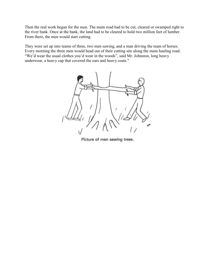Then the real work began for the men. The main road had to be cut, cleared or swamped right to the river bank. Once at the bank, the land had to be cleared to hold two million feet of lumber. From there, the men would start cutting.

They were set up into teams of three, two men sawing, and a man driving the team of horses. Every morning the three men would head out of their cutting site along the main hauling road. "We'd wear the usual clothes you'd wear in the woods", said Mr. Johnston, long heavy underwear, a heavy cap that covered the ears and heavy coats."



Picture of men sawing trees.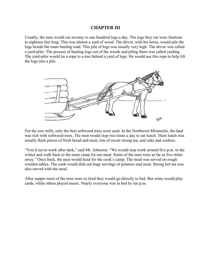#### **CHAPTER III**

Usually, the men would cut seventy to one hundred logs a day. The logs they cut were fourteen to eighteen feet long. This was almost a yard of wood. The driver, with his horse, would pile the logs beside the main hauling road. This pile of logs was usually very high. The driver was called a yard-piler. The process of hauling logs out of the woods and piling them was called yarding. The yard-piler would tie a rope to a tree behind a yard of logs. He would use this rope to help lift the logs into a pile.



For the saw mills, only the best softwood trees were used. In the Northwest Miramichi, the land was rich with softwood trees. The men would stop two times a day to eat lunch. Their lunch was usually thick pieces of fresh bread and meat, lots of sweet strong tea, and cake and cookies.

"You'd never work after dark," said Mr. Johnston. "We would stop work around five p.m. in the winter and walk back to the main camp for our meal. Some of the men were as far as five miles away." Once back, the men would head for the cook's camp. The meal was served on rough wooden tables. The cook would dish out huge servings of potatoes and meat. Strong hot tea was also served with the meal.

After supper most of the men were so tired they would go directly to bed. But some would play cards, while others played music. Nearly everyone was in bed by ten p.m.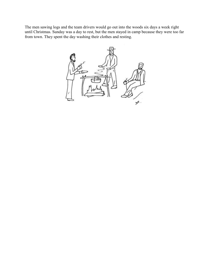The men sawing logs and the team drivers would go out into the woods six days a week right until Christmas. Sunday was a day to rest, but the men stayed in camp because they were too far from town. They spent the day washing their clothes and resting.

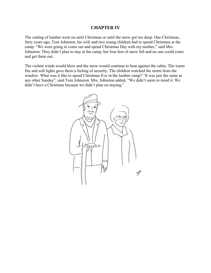#### **CHAPTER IV**

The cutting of lumber went on until Christmas or until the snow got too deep. One Christmas, forty years ago, Tom Johnston, his wife and two young children had to spend Christmas at the camp. "We were going to come out and spend Christmas Day with my mother," said Mrs. Johnston. They didn't plan to stay at the camp, but four feet of snow fell and no one could come and get them out.

The violent winds would blow and the snow would continue to beat against the cabin. The warm fire and soft lights gave them a feeling of security. The children watched the storm from the window. What was it like to spend Christmas Eve in the lumber camp? "It was just the same as any other Sunday", said Tom Johnston. Mrs. Johnston added, "We didn't seem to mind it. We didn't have a Christmas because we didn't plan on staying."

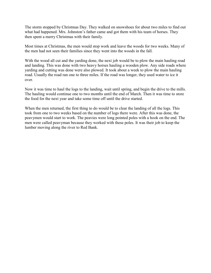The storm stopped by Christmas Day. They walked on snowshoes for about two miles to find out what had happened. Mrs. Johnston's father came and got them with his team of horses. They then spent a merry Christmas with their family.

Most times at Christmas, the men would stop work and leave the woods for two weeks. Many of the men had not seen their families since they went into the woods in the fall.

With the wood all cut and the yarding done, the next job would be to plow the main hauling road and landing. This was done with two heavy horses hauling a wooden plow. Any side roads where yarding and cutting was done were also plowed. It took about a week to plow the main hauling road. Usually the road ran one to three miles. If the road was longer, they used water to ice it over.

Now it was time to haul the logs to the landing, wait until spring, and begin the drive to the mills. The hauling would continue one to two months until the end of March. Then it was time to store the food for the next year and take some time off until the drive started.

When the men returned, the first thing to do would be to clear the landing of all the logs. This took from one to two weeks based on the number of logs there were. After this was done, the peavymen would start to work. The peavies were long pointed poles with a hook on the end. The men were called peavyman because they worked with these poles. It was their job to keep the lumber moving along the river to Red Bank.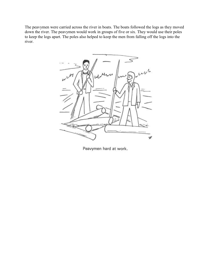The peavymen were carried across the river in boats. The boats followed the logs as they moved down the river. The peavymen would work in groups of five or six. They would use their poles to keep the logs apart. The poles also helped to keep the men from falling off the logs into the river.



Peavymen hard at work.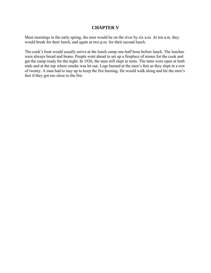#### **CHAPTER V**

Most mornings in the early spring, the men would be on the river by six a.m. At ten a.m. they would break for their lunch, and again at two p.m. for their second lunch.

The cook's boat would usually arrive at the lunch camp one-half hour before lunch. The lunches were always bread and beans. People went ahead to set up a fireplace of stones for the cook and get the camp ready for the night. In 1926, the men still slept in tents. The tents were open at both ends and at the top where smoke was let out. Logs burned at the men's feet as they slept in a row of twenty. A man had to stay up to keep the fire burning. He would walk along and hit the men's feet if they got too close to the fire.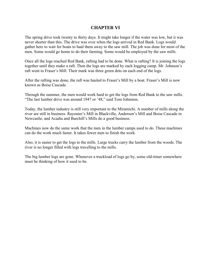#### **CHAPTER VI**

The spring drive took twenty to thirty days. It might take longer if the water was low, but it was never shorter than this. The drive was over when the logs arrived in Red Bank. Logs would gather here to wait for boats to haul them away to the saw mill. The job was done for most of the men. Some would go home to do their farming. Some would be employed by the saw mills.

Once all the logs reached Red Bank, rafting had to be done. What is rafting? It is joining the logs together until they make a raft. Then the logs are marked by each logging camp. Mr. Johnson's raft went to Fraser's Mill. Their mark was three green dots on each end of the logs.

After the rafting was done, the raft was hauled to Fraser's Mill by a boat. Fraser's Mill is now known as Boise Cascade.

Through the summer, the men would work hard to get the logs from Red Bank to the saw mills. "The last lumber drive was around 1947 or '48," said Tom Johnston.

Today, the lumber industry is still very important to the Miramichi. A number of mills along the river are still in business. Rayonier's Mill in Blackville, Anderson's Mill and Boise Cascade in Newcastle, and Acadia and Burchill's Mills do a good business.

Machines now do the same work that the men in the lumber camps used to do. These machines can do the work much faster. It takes fewer men to finish the work.

Also, it is easier to get the logs to the mills. Large trucks carry the lumber from the woods. The river is no longer filled with logs travelling to the mills.

The big lumber logs are gone. Whenever a truckload of logs go by, some old-timer somewhere must be thinking of how it used to be.